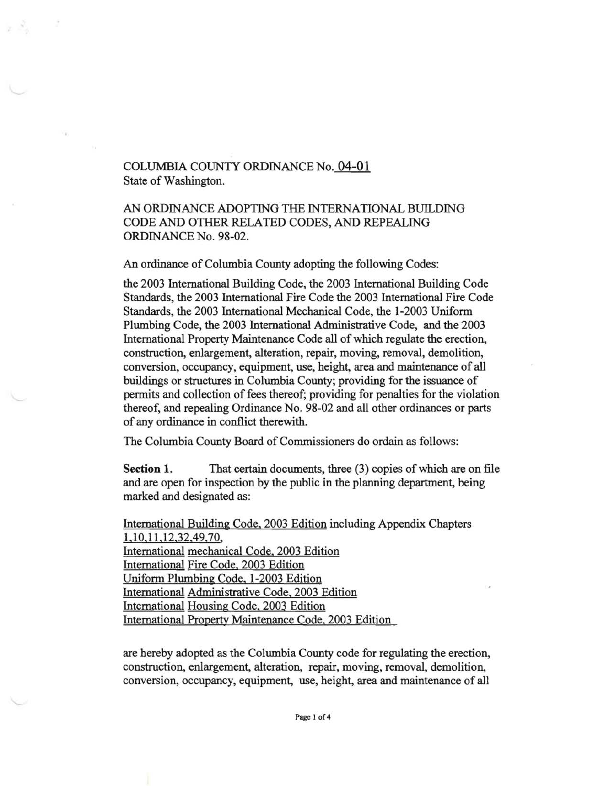# COLUMBIA COllNTY ORDINANCE No. **04-01**  State of Washington.

# AN ORDINANCE ADOPTING THE INTERNATIONAL BUILDING CODE AND OTHER RELATED CODES, AND REPEALING ORDINANCE No. 98-02.

An ordinance of Columbia County adopting the following Codes:

the 2003 International Building Code, the 2003 International Building Code Standards, the 2003 International Fire Code the 2003 International Fire Code Standards, the 2003 International Mechanical Code, the 1-2003 Uniform Plumbing Code, the 2003 International Administrative Code, and the 2003 International Property Maintenance Code all of which regulate the erection, construction, enlargement, alteration, repair, moving, removal, demolition, conversion, occupancy, equipment, use, height, area and maintenance of all buildings or structures in Columbia County; providing for the issuance of permits and collection of fees thereof; providing for penalties for the violation thereof, and repealing Ordinance No. 98-02 and all other ordinances or parts of any ordinance in conflict therewith.

The Columbia County Board of Commissioners do ordain as follows:

**Section 1.** That certain documents, three (3) copies of which are on file and are open for inspection by the public in the planning department, being marked and designated as:

International Building Code, 2003 Edition including Appendix Chapters 1,10,11.12.32,49,70, International mechanical Code, 2003 Edition International Fire Code, 2003 Edition Uniform Plumbing Code, 1-2003 Edition International Administrative Code, 2003 Edition International Housing Code, 2003 Edition International Property Maintenance Code, 2003 Edition

are hereby adopted as the Columbia County code for regulating the erection, construction, enlargement, alteration, repair, moving, removal, demolition, conversion, occupancy, equipment, use, height, area and maintenance of all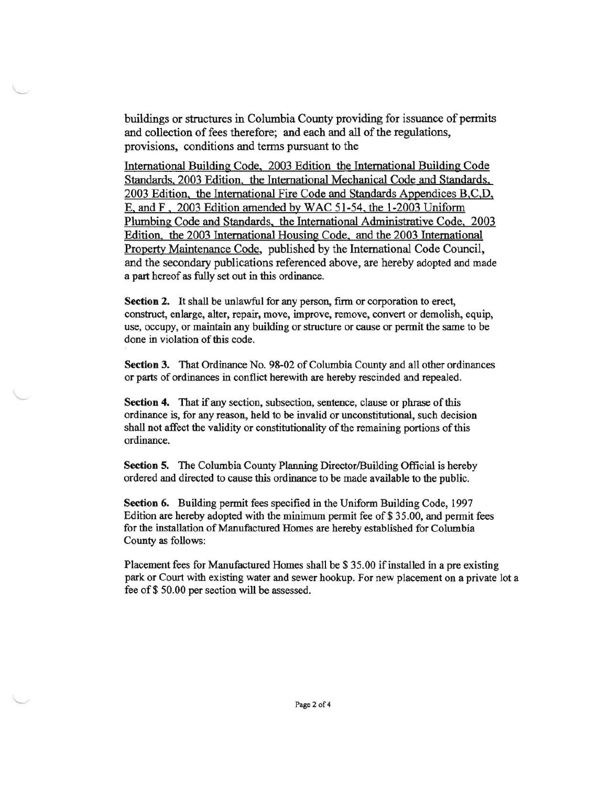buildings or structures in Columbia County providing for issuance of permits and collection of fees therefore; and each and all of the regulations, provisions, conditions and tenns pursuant to the

International Building Code, 2003 Edition the International Building Code Standards, 2003 Edition. the International Mechanical Code and Standards, 2003 Edition, the International Fire Code and Standards Appendices B,C,D, E, and F , 2003 Edition amended by WAC 51-54, the 1-2003 Unifonn Plumbing Code and Standards, the International Administrative Code, 2003 Edition. the 2003 International Housing Code, and the 2003 International Property Maintenance Code, published by the International Code Council, and the secondary publications referenced above, are hereby adopted and made a part hereof as fully set out in this ordinance.

**Section** 2. It shall be unlawful for any person, firm or corporation to erect, construct, enlarge, alter, repair, move, improve, remove, convert or demolish, equip, use, occupy, or maintain any building or structure or cause or permit the same to be done in violation of this code.

**Section** 3. That Ordinance No. 98-02 of Columbia County and all other ordinances or parts of ordinances in conflict herewith are hereby rescinded and repealed.

**Section 4.** That if any section, subsection, sentence, clause or phrase of this ordinance is, for any reason, held to be invalid or unconstitutional, such decision shall not affect the validity or constitutionality of the remaining portions of this ordinance.

**Section 5.** The Columbia County Planning Director/Building Official is hereby ordered and directed to cause this ordinance to be made available to the public.

**Section** 6. Building permit fees specified in the Uniform Building Code, 1997 Edition are hereby adopted with the minimum permit fee of \$35.00, and permit fees for the installation of Manufactured Homes are hereby established for Columbia County as follows:

Placement fees for Manufactured Homes shall be \$35.00 if installed in a pre existing park or Court with existing water and sewer hookup. For new placement on a private lot a fee of\$ 50.00 per section will be assessed.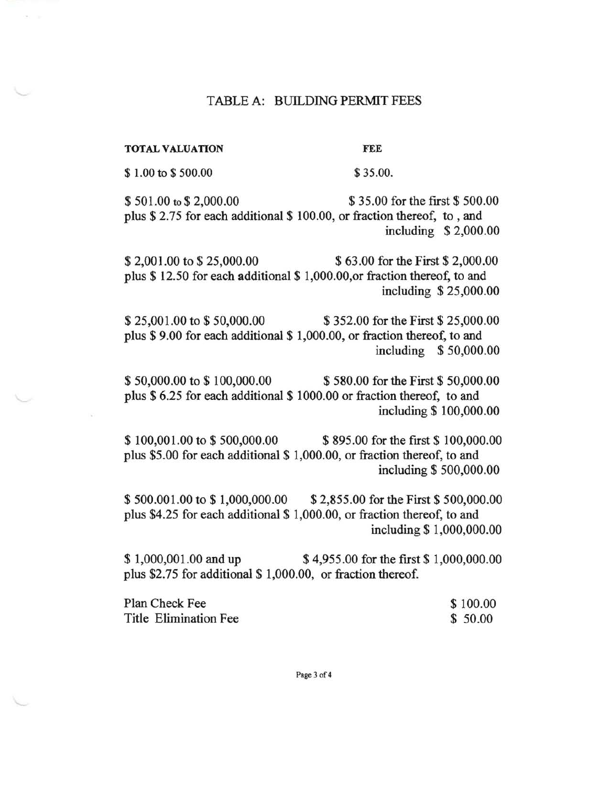## TABLE A: BUILDING PERMIT FEES

TOTAL VALUATION FEE

\$ 1.00 to \$ 500.00 \$ 35.00.

\$ 501.00 to \$ 2,000.00 \$ 35.00 for the first \$ 500.00 plus \$ 2.75 for each additional \$ 100.00, or fraction thereof, to, and including \$ 2,000.00

\$ 2,001.00 to \$ 25,000.00 \$ 63.00 for the First \$ 2,000.00 plus \$ 12.50 for each additional \$ 1,000.00,or fraction thereof, to and including \$ 25,000.00

\$25,001.00 to \$50,000.00 \$352.00 for the First \$25,000.00 plus \$ 9.00 for each additional \$ 1,000.00, or fraction thereof, to and including \$ 50,000.00

\$50,000.00 to \$100,000.00 \$580.00 for the First \$50,000.00 plus \$ 6.25 for each additional \$ 1000.00 or fraction thereof, to and including \$ 100,000.00

\$100,001.00 to \$500,000.00 \$895.00 for the first \$100,000.00 plus \$5.00 for each additional \$ 1,000.00, or fraction thereof, to and including \$ 500,000.00

\$500,001.00 to \$1,000,000.00 \$2,855.00 for the First \$500,000.00 plus \$4.25 for each additional \$ 1,000.00, or fraction thereof, to and including \$ 1,000,000.00

\$1,000,001.00 and up \$4,955.00 for the first \$1,000,000.00 plus \$2.75 for additional \$ 1,000.00, or fraction thereof.

| Plan Check Fee        | \$100.00 |
|-----------------------|----------|
| Title Elimination Fee | \$50.00  |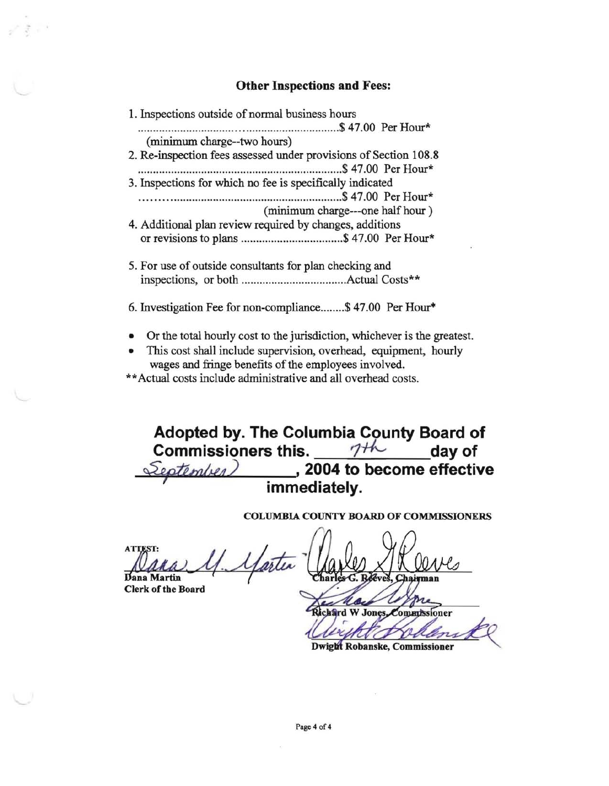## **Other Inspections and** Fees:

1. Inspections outside of nonnal business hours .................................................................. \$ 47.00 Per Hour\* (minimum charge--two hours) 2. Re-inspection fees assessed under provisions of Section 108.8 .................................................................... \$ 47.00 Per Hour\* 3. Inspections for which no fee is specifically indicated ................................................................. \$ 47.00 Per Hour\* (minimum charge---one half hour ) 4. Additional plan review required by changes, additions or revisions to plans .................................. \$ 47.00 Per Hour\* 5. For use of outside consultants for plan checking and

- inspections, or both ................................... Actual Costs\*\*
- 6. Investigation Fee for non-compliance ........ \$ 47.00 Per Hour·
- Or the total hourly cost to the jurisdiction, whichever is the greatest.
- This cost shall include supervision, overhead, equipment, hourly wages and fringe benefits of the employees involved.
- \*\* Actual costs include administrative and all overhead costs.

**Adopted by. The Columbia County Board of Commissioners this.** 7<sup>+h</sup> day of  $\sqrt{2eptanh}(u)$  , 2004 to become effective **immediately.** 

COLUMBIA COUNTY BOARD OF COMMISSIONERS

COI<br>Dana Martin 4.4 ATTEST:<br>Dana Martin 11. Martin Charles & Rouves

**Dana Martin** 

Æ. Richard W Jones Commissioner

**Dwight Robanske, Commissioner**